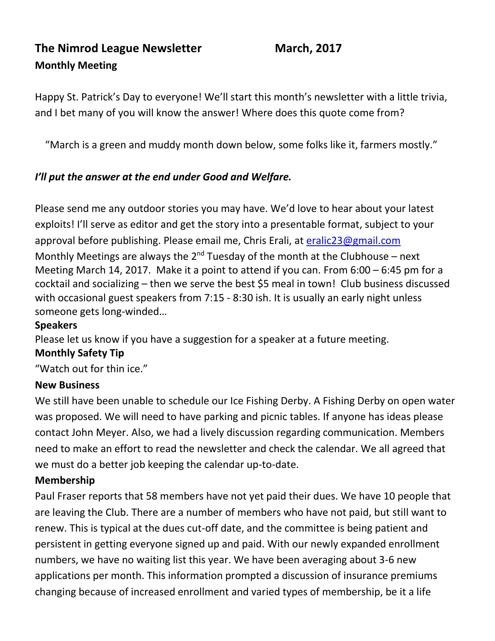# **The Nimrod League Newsletter March, 2017 Monthly Meeting**

Happy St. Patrick's Day to everyone! We'll start this month's newsletter with a little trivia, and I bet many of you will know the answer! Where does this quote come from?

"March is a green and muddy month down below, some folks like it, farmers mostly."

## *I'll put the answer at the end under Good and Welfare.*

Please send me any outdoor stories you may have. We'd love to hear about your latest exploits! I'll serve as editor and get the story into a presentable format, subject to your approval before publishing. Please email me, Chris Erali, at [eralic23@gmail.com](mailto:eralic23@gmail.com) Monthly Meetings are always the  $2^{nd}$  Tuesday of the month at the Clubhouse – next Meeting March 14, 2017. Make it a point to attend if you can. From 6:00 – 6:45 pm for a cocktail and socializing – then we serve the best \$5 meal in town! Club business discussed with occasional guest speakers from 7:15 - 8:30 ish. It is usually an early night unless someone gets long-winded…

#### **Speakers**

Please let us know if you have a suggestion for a speaker at a future meeting.

#### **Monthly Safety Tip**

"Watch out for thin ice."

#### **New Business**

We still have been unable to schedule our Ice Fishing Derby. A Fishing Derby on open water was proposed. We will need to have parking and picnic tables. If anyone has ideas please contact John Meyer. Also, we had a lively discussion regarding communication. Members need to make an effort to read the newsletter and check the calendar. We all agreed that we must do a better job keeping the calendar up-to-date.

#### **Membership**

Paul Fraser reports that 58 members have not yet paid their dues. We have 10 people that are leaving the Club. There are a number of members who have not paid, but still want to renew. This is typical at the dues cut-off date, and the committee is being patient and persistent in getting everyone signed up and paid. With our newly expanded enrollment numbers, we have no waiting list this year. We have been averaging about 3-6 new applications per month. This information prompted a discussion of insurance premiums changing because of increased enrollment and varied types of membership, be it a life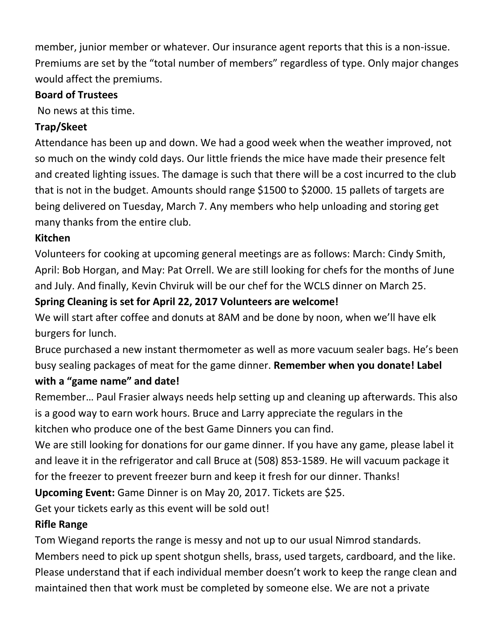member, junior member or whatever. Our insurance agent reports that this is a non-issue. Premiums are set by the "total number of members" regardless of type. Only major changes would affect the premiums.

## **Board of Trustees**

No news at this time.

# **Trap/Skeet**

Attendance has been up and down. We had a good week when the weather improved, not so much on the windy cold days. Our little friends the mice have made their presence felt and created lighting issues. The damage is such that there will be a cost incurred to the club that is not in the budget. Amounts should range \$1500 to \$2000. 15 pallets of targets are being delivered on Tuesday, March 7. Any members who help unloading and storing get many thanks from the entire club.

# **Kitchen**

Volunteers for cooking at upcoming general meetings are as follows: March: Cindy Smith, April: Bob Horgan, and May: Pat Orrell. We are still looking for chefs for the months of June and July. And finally, Kevin Chviruk will be our chef for the WCLS dinner on March 25.

## **Spring Cleaning is set for April 22, 2017 Volunteers are welcome!**

We will start after coffee and donuts at 8AM and be done by noon, when we'll have elk burgers for lunch.

Bruce purchased a new instant thermometer as well as more vacuum sealer bags. He's been busy sealing packages of meat for the game dinner. **Remember when you donate! Label with a "game name" and date!**

Remember… Paul Frasier always needs help setting up and cleaning up afterwards. This also is a good way to earn work hours. Bruce and Larry appreciate the regulars in the kitchen who produce one of the best Game Dinners you can find.

We are still looking for donations for our game dinner. If you have any game, please label it and leave it in the refrigerator and call Bruce at (508) 853-1589. He will vacuum package it for the freezer to prevent freezer burn and keep it fresh for our dinner. Thanks!

**Upcoming Event:** Game Dinner is on May 20, 2017. Tickets are \$25.

Get your tickets early as this event will be sold out!

## **Rifle Range**

Tom Wiegand reports the range is messy and not up to our usual Nimrod standards.

Members need to pick up spent shotgun shells, brass, used targets, cardboard, and the like. Please understand that if each individual member doesn't work to keep the range clean and maintained then that work must be completed by someone else. We are not a private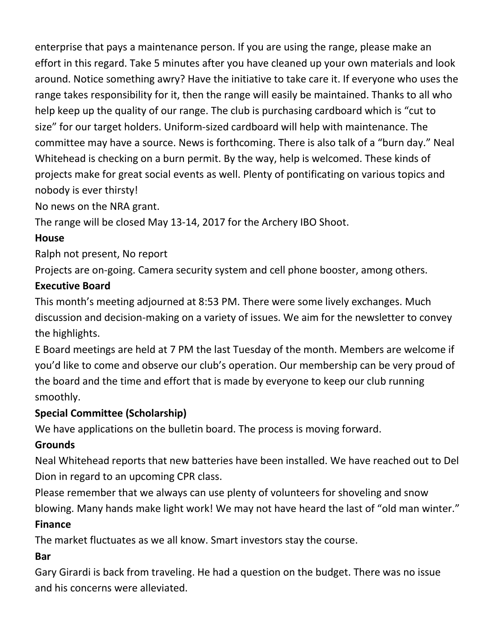enterprise that pays a maintenance person. If you are using the range, please make an effort in this regard. Take 5 minutes after you have cleaned up your own materials and look around. Notice something awry? Have the initiative to take care it. If everyone who uses the range takes responsibility for it, then the range will easily be maintained. Thanks to all who help keep up the quality of our range. The club is purchasing cardboard which is "cut to size" for our target holders. Uniform-sized cardboard will help with maintenance. The committee may have a source. News is forthcoming. There is also talk of a "burn day." Neal Whitehead is checking on a burn permit. By the way, help is welcomed. These kinds of projects make for great social events as well. Plenty of pontificating on various topics and nobody is ever thirsty!

No news on the NRA grant.

The range will be closed May 13-14, 2017 for the Archery IBO Shoot.

## **House**

Ralph not present, No report

Projects are on-going. Camera security system and cell phone booster, among others.

## **Executive Board**

This month's meeting adjourned at 8:53 PM. There were some lively exchanges. Much discussion and decision-making on a variety of issues. We aim for the newsletter to convey the highlights.

E Board meetings are held at 7 PM the last Tuesday of the month. Members are welcome if you'd like to come and observe our club's operation. Our membership can be very proud of the board and the time and effort that is made by everyone to keep our club running smoothly.

# **Special Committee (Scholarship)**

We have applications on the bulletin board. The process is moving forward.

# **Grounds**

Neal Whitehead reports that new batteries have been installed. We have reached out to Del Dion in regard to an upcoming CPR class.

Please remember that we always can use plenty of volunteers for shoveling and snow blowing. Many hands make light work! We may not have heard the last of "old man winter."

# **Finance**

The market fluctuates as we all know. Smart investors stay the course.

# **Bar**

Gary Girardi is back from traveling. He had a question on the budget. There was no issue and his concerns were alleviated.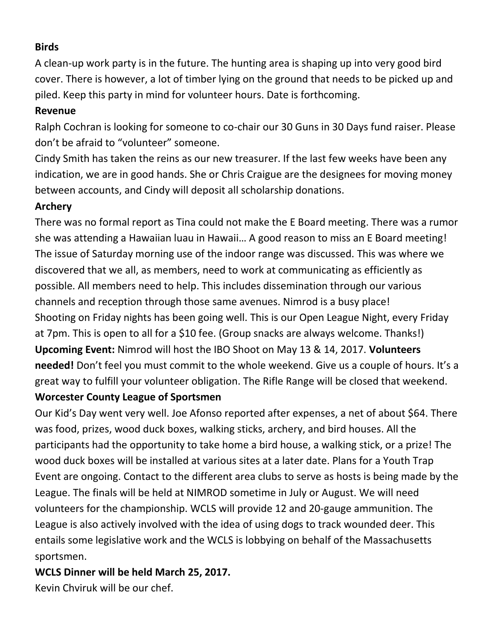## **Birds**

A clean-up work party is in the future. The hunting area is shaping up into very good bird cover. There is however, a lot of timber lying on the ground that needs to be picked up and piled. Keep this party in mind for volunteer hours. Date is forthcoming.

#### **Revenue**

Ralph Cochran is looking for someone to co-chair our 30 Guns in 30 Days fund raiser. Please don't be afraid to "volunteer" someone.

Cindy Smith has taken the reins as our new treasurer. If the last few weeks have been any indication, we are in good hands. She or Chris Craigue are the designees for moving money between accounts, and Cindy will deposit all scholarship donations.

## **Archery**

There was no formal report as Tina could not make the E Board meeting. There was a rumor she was attending a Hawaiian luau in Hawaii… A good reason to miss an E Board meeting! The issue of Saturday morning use of the indoor range was discussed. This was where we discovered that we all, as members, need to work at communicating as efficiently as possible. All members need to help. This includes dissemination through our various channels and reception through those same avenues. Nimrod is a busy place! Shooting on Friday nights has been going well. This is our Open League Night, every Friday at 7pm. This is open to all for a \$10 fee. (Group snacks are always welcome. Thanks!) **Upcoming Event:** Nimrod will host the IBO Shoot on May 13 & 14, 2017. **Volunteers needed!** Don't feel you must commit to the whole weekend. Give us a couple of hours. It's a great way to fulfill your volunteer obligation. The Rifle Range will be closed that weekend.

## **Worcester County League of Sportsmen**

Our Kid's Day went very well. Joe Afonso reported after expenses, a net of about \$64. There was food, prizes, wood duck boxes, walking sticks, archery, and bird houses. All the participants had the opportunity to take home a bird house, a walking stick, or a prize! The wood duck boxes will be installed at various sites at a later date. Plans for a Youth Trap Event are ongoing. Contact to the different area clubs to serve as hosts is being made by the League. The finals will be held at NIMROD sometime in July or August. We will need volunteers for the championship. WCLS will provide 12 and 20-gauge ammunition. The League is also actively involved with the idea of using dogs to track wounded deer. This entails some legislative work and the WCLS is lobbying on behalf of the Massachusetts sportsmen.

## **WCLS Dinner will be held March 25, 2017.**

Kevin Chviruk will be our chef.